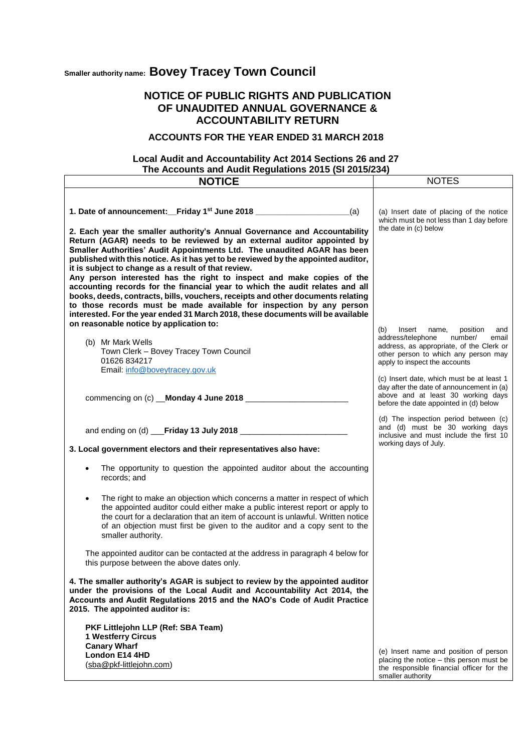## **Smaller authority name: Bovey Tracey Town Council**

## **NOTICE OF PUBLIC RIGHTS AND PUBLICATION OF UNAUDITED ANNUAL GOVERNANCE & ACCOUNTABILITY RETURN**

## **ACCOUNTS FOR THE YEAR ENDED 31 MARCH 2018**

## **Local Audit and Accountability Act 2014 Sections 26 and 27 The Accounts and Audit Regulations 2015 (SI 2015/234)**

| <b>NOTICE</b>                                                                                                                                                                                                                                                                                                                                                                                                                                                                                                                                                                                                                                                                                                                                                                                     | <b>NOTES</b>                                                                                                                                                                                            |
|---------------------------------------------------------------------------------------------------------------------------------------------------------------------------------------------------------------------------------------------------------------------------------------------------------------------------------------------------------------------------------------------------------------------------------------------------------------------------------------------------------------------------------------------------------------------------------------------------------------------------------------------------------------------------------------------------------------------------------------------------------------------------------------------------|---------------------------------------------------------------------------------------------------------------------------------------------------------------------------------------------------------|
|                                                                                                                                                                                                                                                                                                                                                                                                                                                                                                                                                                                                                                                                                                                                                                                                   |                                                                                                                                                                                                         |
| 1. Date of announcement: Friday 1 <sup>st</sup> June 2018 ________________________________(a)<br>2. Each year the smaller authority's Annual Governance and Accountability<br>Return (AGAR) needs to be reviewed by an external auditor appointed by<br>Smaller Authorities' Audit Appointments Ltd. The unaudited AGAR has been<br>published with this notice. As it has yet to be reviewed by the appointed auditor,<br>it is subject to change as a result of that review.<br>Any person interested has the right to inspect and make copies of the<br>accounting records for the financial year to which the audit relates and all<br>books, deeds, contracts, bills, vouchers, receipts and other documents relating<br>to those records must be made available for inspection by any person | (a) Insert date of placing of the notice<br>which must be not less than 1 day before<br>the date in (c) below                                                                                           |
| interested. For the year ended 31 March 2018, these documents will be available                                                                                                                                                                                                                                                                                                                                                                                                                                                                                                                                                                                                                                                                                                                   |                                                                                                                                                                                                         |
| on reasonable notice by application to:<br>(b) Mr Mark Wells<br>Town Clerk - Bovey Tracey Town Council<br>01626 834217<br>Email: info@boveytracey.gov.uk                                                                                                                                                                                                                                                                                                                                                                                                                                                                                                                                                                                                                                          | (b)<br>Insert<br>position<br>name,<br>and<br>address/telephone<br>number/<br>email<br>address, as appropriate, of the Clerk or<br>other person to which any person may<br>apply to inspect the accounts |
| commencing on (c) __Monday 4 June 2018 ___________________                                                                                                                                                                                                                                                                                                                                                                                                                                                                                                                                                                                                                                                                                                                                        | (c) Insert date, which must be at least 1<br>day after the date of announcement in (a)<br>above and at least 30 working days<br>before the date appointed in (d) below                                  |
| 3. Local government electors and their representatives also have:                                                                                                                                                                                                                                                                                                                                                                                                                                                                                                                                                                                                                                                                                                                                 | (d) The inspection period between (c)<br>and (d) must be 30 working days<br>inclusive and must include the first 10<br>working days of July.                                                            |
| The opportunity to question the appointed auditor about the accounting<br>records; and                                                                                                                                                                                                                                                                                                                                                                                                                                                                                                                                                                                                                                                                                                            |                                                                                                                                                                                                         |
| The right to make an objection which concerns a matter in respect of which<br>the appointed auditor could either make a public interest report or apply to<br>the court for a declaration that an item of account is unlawful. Written notice<br>of an objection must first be given to the auditor and a copy sent to the<br>smaller authority.                                                                                                                                                                                                                                                                                                                                                                                                                                                  |                                                                                                                                                                                                         |
| The appointed auditor can be contacted at the address in paragraph 4 below for<br>this purpose between the above dates only.                                                                                                                                                                                                                                                                                                                                                                                                                                                                                                                                                                                                                                                                      |                                                                                                                                                                                                         |
| 4. The smaller authority's AGAR is subject to review by the appointed auditor<br>under the provisions of the Local Audit and Accountability Act 2014, the<br>Accounts and Audit Regulations 2015 and the NAO's Code of Audit Practice<br>2015. The appointed auditor is:                                                                                                                                                                                                                                                                                                                                                                                                                                                                                                                          |                                                                                                                                                                                                         |
| PKF Littlejohn LLP (Ref: SBA Team)<br><b>1 Westferry Circus</b><br><b>Canary Wharf</b><br>London E14 4HD<br>(sba@pkf-littlejohn.com)                                                                                                                                                                                                                                                                                                                                                                                                                                                                                                                                                                                                                                                              | (e) Insert name and position of person<br>placing the notice - this person must be<br>the responsible financial officer for the<br>smaller authority                                                    |